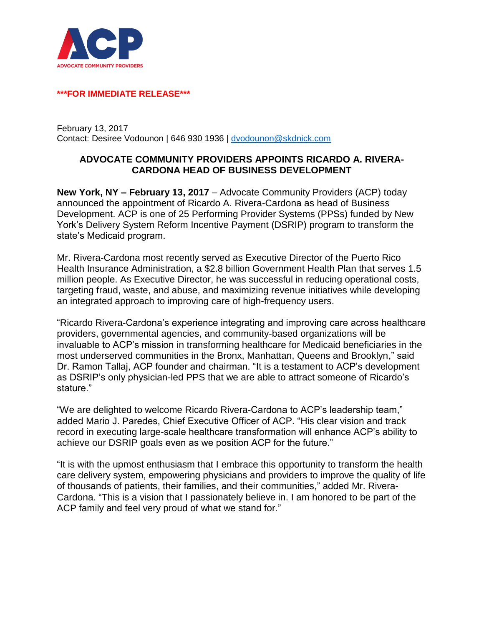

## **\*\*\*FOR IMMEDIATE RELEASE\*\*\***

February 13, 2017 Contact: Desiree Vodounon | 646 930 1936 | [dvodounon@skdnick.com](mailto:mgaspin@skdknick.com)

## **ADVOCATE COMMUNITY PROVIDERS APPOINTS RICARDO A. RIVERA-CARDONA HEAD OF BUSINESS DEVELOPMENT**

**New York, NY – February 13, 2017** – Advocate Community Providers (ACP) today announced the appointment of Ricardo A. Rivera-Cardona as head of Business Development. ACP is one of 25 Performing Provider Systems (PPSs) funded by New York's Delivery System Reform Incentive Payment (DSRIP) program to transform the state's Medicaid program.

Mr. Rivera-Cardona most recently served as Executive Director of the Puerto Rico Health Insurance Administration, a \$2.8 billion Government Health Plan that serves 1.5 million people. As Executive Director, he was successful in reducing operational costs, targeting fraud, waste, and abuse, and maximizing revenue initiatives while developing an integrated approach to improving care of high-frequency users.

"Ricardo Rivera-Cardona's experience integrating and improving care across healthcare providers, governmental agencies, and community-based organizations will be invaluable to ACP's mission in transforming healthcare for Medicaid beneficiaries in the most underserved communities in the Bronx, Manhattan, Queens and Brooklyn," said Dr. Ramon Tallaj, ACP founder and chairman. "It is a testament to ACP's development as DSRIP's only physician-led PPS that we are able to attract someone of Ricardo's stature."

"We are delighted to welcome Ricardo Rivera-Cardona to ACP's leadership team," added Mario J. Paredes, Chief Executive Officer of ACP. "His clear vision and track record in executing large-scale healthcare transformation will enhance ACP's ability to achieve our DSRIP goals even as we position ACP for the future."

"It is with the upmost enthusiasm that I embrace this opportunity to transform the health care delivery system, empowering physicians and providers to improve the quality of life of thousands of patients, their families, and their communities," added Mr. Rivera-Cardona. "This is a vision that I passionately believe in. I am honored to be part of the ACP family and feel very proud of what we stand for."